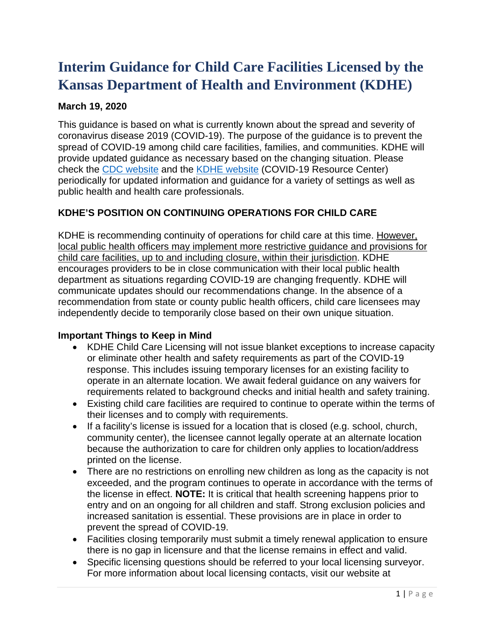# **Interim Guidance for Child Care Facilities Licensed by the Kansas Department of Health and Environment (KDHE)**

### **March 19, 2020**

This guidance is based on what is currently known about the spread and severity of coronavirus disease 2019 (COVID-19). The purpose of the guidance is to prevent the spread of COVID-19 among child care facilities, families, and communities. KDHE will provide updated guidance as necessary based on the changing situation. Please check the [CDC website](https://www.cdc.gov/coronavirus/2019-ncov/index.html) and the [KDHE website](http://www.kdheks.gov/) (COVID-19 Resource Center) periodically for updated information and guidance for a variety of settings as well as public health and health care professionals.

# **KDHE'S POSITION ON CONTINUING OPERATIONS FOR CHILD CARE**

KDHE is recommending continuity of operations for child care at this time. However, local public health officers may implement more restrictive guidance and provisions for child care facilities, up to and including closure, within their jurisdiction. KDHE encourages providers to be in close communication with their local public health department as situations regarding COVID-19 are changing frequently. KDHE will communicate updates should our recommendations change. In the absence of a recommendation from state or county public health officers, child care licensees may independently decide to temporarily close based on their own unique situation.

#### **Important Things to Keep in Mind**

- KDHE Child Care Licensing will not issue blanket exceptions to increase capacity or eliminate other health and safety requirements as part of the COVID-19 response. This includes issuing temporary licenses for an existing facility to operate in an alternate location. We await federal guidance on any waivers for requirements related to background checks and initial health and safety training.
- Existing child care facilities are required to continue to operate within the terms of their licenses and to comply with requirements.
- If a facility's license is issued for a location that is closed (e.g. school, church, community center), the licensee cannot legally operate at an alternate location because the authorization to care for children only applies to location/address printed on the license.
- There are no restrictions on enrolling new children as long as the capacity is not exceeded, and the program continues to operate in accordance with the terms of the license in effect. **NOTE:** It is critical that health screening happens prior to entry and on an ongoing for all children and staff. Strong exclusion policies and increased sanitation is essential. These provisions are in place in order to prevent the spread of COVID-19.
- Facilities closing temporarily must submit a timely renewal application to ensure there is no gap in licensure and that the license remains in effect and valid.
- Specific licensing questions should be referred to your local licensing surveyor. For more information about local licensing contacts, visit our website at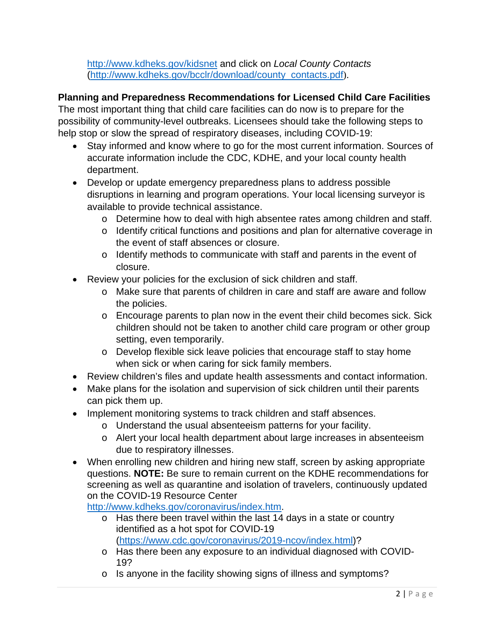<http://www.kdheks.gov/kidsnet> and click on *Local County Contacts*  [\(http://www.kdheks.gov/bcclr/download/county\\_contacts.pdf](http://www.kdheks.gov/bcclr/download/county_contacts.pdf)).

#### **Planning and Preparedness Recommendations for Licensed Child Care Facilities**

The most important thing that child care facilities can do now is to prepare for the possibility of community-level outbreaks. Licensees should take the following steps to help stop or slow the spread of respiratory diseases, including COVID-19:

- Stay informed and know where to go for the most current information. Sources of accurate information include the CDC, KDHE, and your local county health department.
- Develop or update emergency preparedness plans to address possible disruptions in learning and program operations. Your local licensing surveyor is available to provide technical assistance.
	- o Determine how to deal with high absentee rates among children and staff.
	- o Identify critical functions and positions and plan for alternative coverage in the event of staff absences or closure.
	- o Identify methods to communicate with staff and parents in the event of closure.
- Review your policies for the exclusion of sick children and staff.
	- o Make sure that parents of children in care and staff are aware and follow the policies.
	- o Encourage parents to plan now in the event their child becomes sick. Sick children should not be taken to another child care program or other group setting, even temporarily.
	- o Develop flexible sick leave policies that encourage staff to stay home when sick or when caring for sick family members.
- Review children's files and update health assessments and contact information.
- Make plans for the isolation and supervision of sick children until their parents can pick them up.
- Implement monitoring systems to track children and staff absences.
	- o Understand the usual absenteeism patterns for your facility.
	- o Alert your local health department about large increases in absenteeism due to respiratory illnesses.
- When enrolling new children and hiring new staff, screen by asking appropriate questions. **NOTE:** Be sure to remain current on the KDHE recommendations for screening as well as quarantine and isolation of travelers, continuously updated on the COVID-19 Resource Center

[http://www.kdheks.gov/coronavirus/index.htm.](http://www.kdheks.gov/coronavirus/index.htm)

- o Has there been travel within the last 14 days in a state or country identified as a hot spot for COVID-19 [\(https://www.cdc.gov/coronavirus/2019-ncov/index.html\)](https://www.cdc.gov/coronavirus/2019-ncov/index.html)?
- o Has there been any exposure to an individual diagnosed with COVID-19?
- o Is anyone in the facility showing signs of illness and symptoms?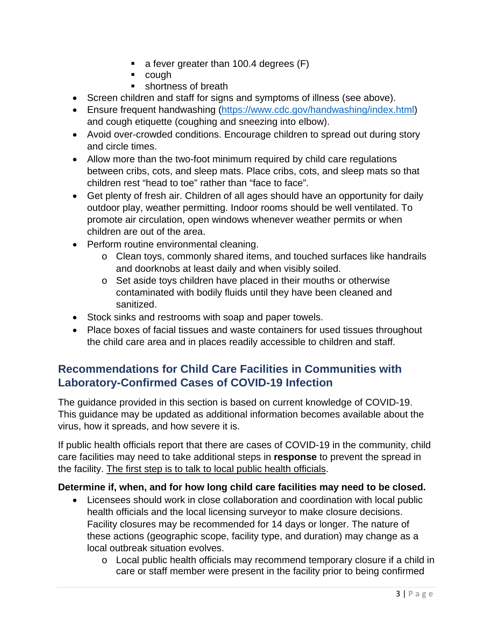- $\blacksquare$  a fever greater than 100.4 degrees (F)
- cough
- shortness of breath
- Screen children and staff for signs and symptoms of illness (see above).
- Ensure frequent handwashing [\(https://www.cdc.gov/handwashing/index.html\)](https://www.cdc.gov/handwashing/index.html) and cough etiquette (coughing and sneezing into elbow).
- Avoid over-crowded conditions. Encourage children to spread out during story and circle times.
- Allow more than the two-foot minimum required by child care regulations between cribs, cots, and sleep mats. Place cribs, cots, and sleep mats so that children rest "head to toe" rather than "face to face".
- Get plenty of fresh air. Children of all ages should have an opportunity for daily outdoor play, weather permitting. Indoor rooms should be well ventilated. To promote air circulation, open windows whenever weather permits or when children are out of the area.
- Perform routine environmental cleaning.
	- o Clean toys, commonly shared items, and touched surfaces like handrails and doorknobs at least daily and when visibly soiled.
	- o Set aside toys children have placed in their mouths or otherwise contaminated with bodily fluids until they have been cleaned and sanitized.
- Stock sinks and restrooms with soap and paper towels.
- Place boxes of facial tissues and waste containers for used tissues throughout the child care area and in places readily accessible to children and staff.

# **Recommendations for Child Care Facilities in Communities with Laboratory-Confirmed Cases of COVID-19 Infection**

The guidance provided in this section is based on current knowledge of COVID-19. This guidance may be updated as additional information becomes available about the virus, how it spreads, and how severe it is.

If public health officials report that there are cases of COVID-19 in the community, child care facilities may need to take additional steps in **response** to prevent the spread in the facility. The first step is to talk to local public health officials.

#### **Determine if, when, and for how long child care facilities may need to be closed.**

- Licensees should work in close collaboration and coordination with local public health officials and the local licensing surveyor to make closure decisions. Facility closures may be recommended for 14 days or longer. The nature of these actions (geographic scope, facility type, and duration) may change as a local outbreak situation evolves.
	- $\circ$  Local public health officials may recommend temporary closure if a child in care or staff member were present in the facility prior to being confirmed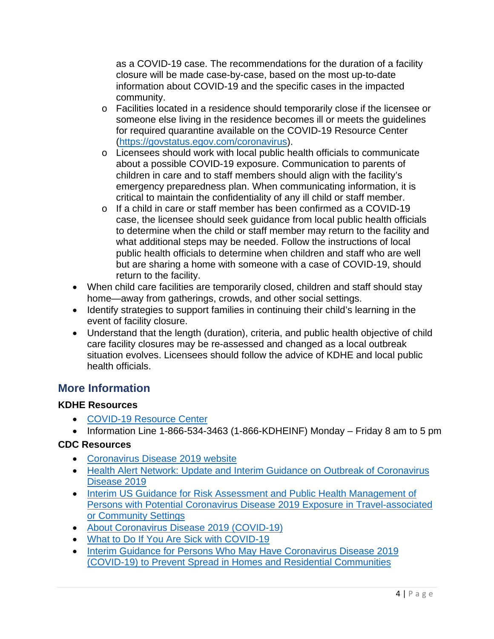as a COVID-19 case. The recommendations for the duration of a facility closure will be made case-by-case, based on the most up-to-date information about COVID-19 and the specific cases in the impacted community.

- o Facilities located in a residence should temporarily close if the licensee or someone else living in the residence becomes ill or meets the guidelines for required quarantine available on the COVID-19 Resource Center [\(https://govstatus.egov.com/coronavirus\)](https://govstatus.egov.com/coronavirus).
- o Licensees should work with local public health officials to communicate about a possible COVID-19 exposure. Communication to parents of children in care and to staff members should align with the facility's emergency preparedness plan. When communicating information, it is critical to maintain the confidentiality of any ill child or staff member.
- o If a child in care or staff member has been confirmed as a COVID-19 case, the licensee should seek guidance from local public health officials to determine when the child or staff member may return to the facility and what additional steps may be needed. Follow the instructions of local public health officials to determine when children and staff who are well but are sharing a home with someone with a case of COVID-19, should return to the facility.
- When child care facilities are temporarily closed, children and staff should stay home—away from gatherings, crowds, and other social settings.
- Identify strategies to support families in continuing their child's learning in the event of facility closure.
- Understand that the length (duration), criteria, and public health objective of child care facility closures may be re-assessed and changed as a local outbreak situation evolves. Licensees should follow the advice of KDHE and local public health officials.

# **More Information**

# **KDHE Resources**

- [COVID-19 Resource Center](https://govstatus.egov.com/coronavirus)
- Information Line 1-866-534-3463 (1-866-KDHEINF) Monday Friday 8 am to 5 pm

# **CDC Resources**

- [Coronavirus Disease 2019 website](https://www.cdc.gov/coronavirus/2019-ncov/index.html)
- [Health Alert Network: Update and Interim Guidance on Outbreak of Coronavirus](https://emergency.cdc.gov/han/han00427.asp)  [Disease 2019](https://emergency.cdc.gov/han/han00427.asp)
- [Interim US Guidance for Risk Assessment and Public Health Management of](https://www.cdc.gov/coronavirus/2019-ncov/php/risk-assessment.html)  [Persons with Potential Coronavirus Disease 2019 Exposure in Travel-associated](https://www.cdc.gov/coronavirus/2019-ncov/php/risk-assessment.html)  [or Community Settings](https://www.cdc.gov/coronavirus/2019-ncov/php/risk-assessment.html)
- [About Coronavirus Disease 2019 \(COVID-19\)](https://www.cdc.gov/coronavirus/2019-ncov/about/index.html)
- [What to Do If You Are Sick with COVID-19](https://www.cdc.gov/coronavirus/2019-ncov/downloads/sick-with-2019-nCoV-fact-sheet.pdf)
- Interim Guidance for Persons Who May Have Coronavirus Disease 2019 [\(COVID-19\) to Prevent Spread in Homes and Residential Communities](https://www.cdc.gov/coronavirus/2019-ncov/hcp/guidance-prevent-spread.html)